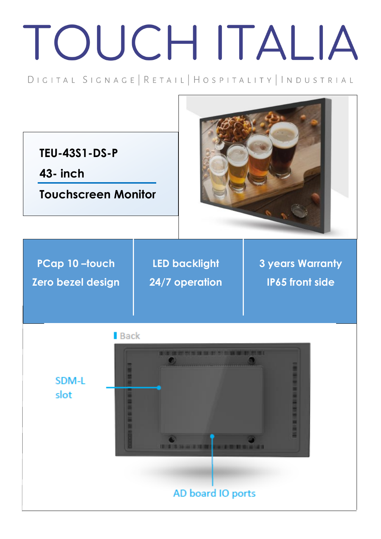## TOUCH ITALIA

## DIGITAL SIGNAGE | RETAIL | HOSPITALITY | INDUSTRIAL